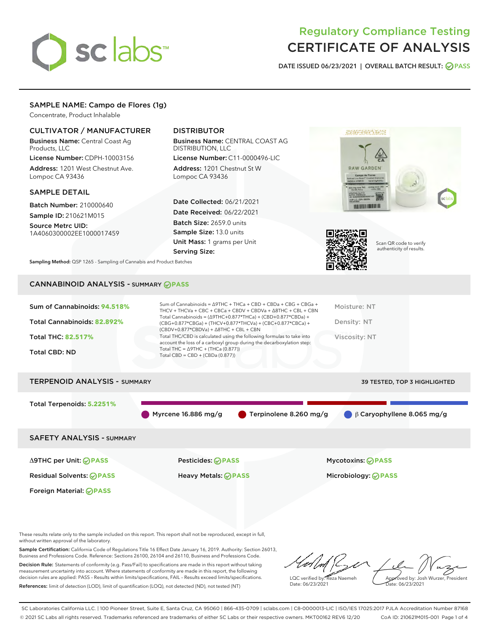# sclabs<sup>\*</sup>

# Regulatory Compliance Testing CERTIFICATE OF ANALYSIS

DATE ISSUED 06/23/2021 | OVERALL BATCH RESULT: @ PASS

# SAMPLE NAME: Campo de Flores (1g)

Concentrate, Product Inhalable

# CULTIVATOR / MANUFACTURER

Business Name: Central Coast Ag Products, LLC

License Number: CDPH-10003156 Address: 1201 West Chestnut Ave. Lompoc CA 93436

# SAMPLE DETAIL

Batch Number: 210000640 Sample ID: 210621M015

Source Metrc UID: 1A4060300002EE1000017459

# DISTRIBUTOR

Business Name: CENTRAL COAST AG DISTRIBUTION, LLC

License Number: C11-0000496-LIC Address: 1201 Chestnut St W Lompoc CA 93436

Date Collected: 06/21/2021 Date Received: 06/22/2021 Batch Size: 2659.0 units Sample Size: 13.0 units Unit Mass: 1 grams per Unit Serving Size:





Scan QR code to verify authenticity of results.

Sampling Method: QSP 1265 - Sampling of Cannabis and Product Batches

# CANNABINOID ANALYSIS - SUMMARY **PASS**

| Sum of Cannabinoids: 94.518% | Sum of Cannabinoids = $\triangle$ 9THC + THCa + CBD + CBDa + CBG + CBGa +<br>THCV + THCVa + CBC + CBCa + CBDV + CBDVa + $\Delta$ 8THC + CBL + CBN<br>Total Cannabinoids = $(\Delta$ 9THC+0.877*THCa) + (CBD+0.877*CBDa) + | Moisture: NT  |
|------------------------------|---------------------------------------------------------------------------------------------------------------------------------------------------------------------------------------------------------------------------|---------------|
| Total Cannabinoids: 82.892%  | (CBG+0.877*CBGa) + (THCV+0.877*THCVa) + (CBC+0.877*CBCa) +<br>$(CBDV+0.877*CBDVa) + \Delta 8THC + CBL + CBN$                                                                                                              | Density: NT   |
| <b>Total THC: 82.517%</b>    | Total THC/CBD is calculated using the following formulas to take into<br>account the loss of a carboxyl group during the decarboxylation step:                                                                            | Viscosity: NT |
| <b>Total CBD: ND</b>         | Total THC = $\triangle$ 9THC + (THCa (0.877))<br>Total CBD = $CBD + (CBDa (0.877))$                                                                                                                                       |               |

# TERPENOID ANALYSIS - SUMMARY 39 TESTED, TOP 3 HIGHLIGHTED Total Terpenoids: **5.2251%** Myrcene 16.886 mg/g Terpinolene 8.260 mg/g β Caryophyllene 8.065 mg/g SAFETY ANALYSIS - SUMMARY

Δ9THC per Unit: **PASS** Pesticides: **PASS** Mycotoxins: **PASS**

Foreign Material: **PASS**

Residual Solvents: **PASS** Heavy Metals: **PASS** Microbiology: **PASS**

These results relate only to the sample included on this report. This report shall not be reproduced, except in full, without written approval of the laboratory.

Sample Certification: California Code of Regulations Title 16 Effect Date January 16, 2019. Authority: Section 26013, Business and Professions Code. Reference: Sections 26100, 26104 and 26110, Business and Professions Code. Decision Rule: Statements of conformity (e.g. Pass/Fail) to specifications are made in this report without taking measurement uncertainty into account. Where statements of conformity are made in this report, the following decision rules are applied: PASS – Results within limits/specifications, FAIL – Results exceed limits/specifications.

References: limit of detection (LOD), limit of quantification (LOQ), not detected (ND), not tested (NT)

LQC verified by: Reza Naemeh Date: 06/23/2021 Approved by: Josh Wurzer, President Date: 06/23/2021

SC Laboratories California LLC. | 100 Pioneer Street, Suite E, Santa Cruz, CA 95060 | 866-435-0709 | sclabs.com | C8-0000013-LIC | ISO/IES 17025:2017 PJLA Accreditation Number 87168 © 2021 SC Labs all rights reserved. Trademarks referenced are trademarks of either SC Labs or their respective owners. MKT00162 REV6 12/20 CoA ID: 210621M015-001 Page 1 of 4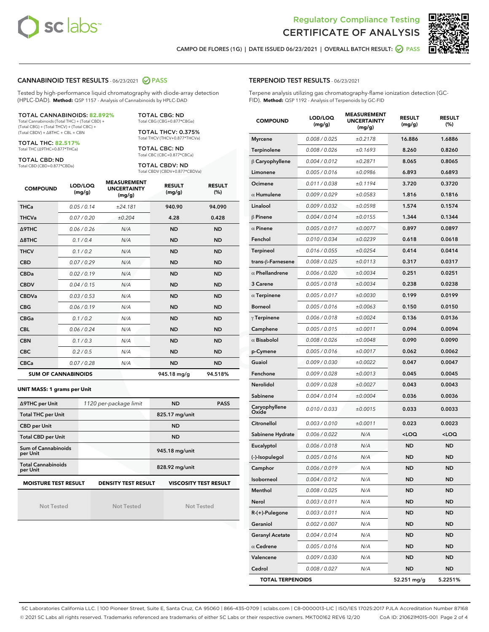



CAMPO DE FLORES (1G) | DATE ISSUED 06/23/2021 | OVERALL BATCH RESULT: **● PASS** 

#### CANNABINOID TEST RESULTS - 06/23/2021 2 PASS

Tested by high-performance liquid chromatography with diode-array detection (HPLC-DAD). **Method:** QSP 1157 - Analysis of Cannabinoids by HPLC-DAD

#### TOTAL CANNABINOIDS: **82.892%**

Total Cannabinoids (Total THC) + (Total CBD) + (Total CBG) + (Total THCV) + (Total CBC) + (Total CBDV) + ∆8THC + CBL + CBN

TOTAL THC: **82.517%** Total THC (∆9THC+0.877\*THCa)

TOTAL CBD: ND

Total CBD (CBD+0.877\*CBDa)

TOTAL CBG: ND Total CBG (CBG+0.877\*CBGa)

TOTAL THCV: 0.375% Total THCV (THCV+0.877\*THCVa)

TOTAL CBC: ND Total CBC (CBC+0.877\*CBCa)

TOTAL CBDV: ND Total CBDV (CBDV+0.877\*CBDVa)

| <b>COMPOUND</b>  | LOD/LOQ<br>(mg/g)          | <b>MEASUREMENT</b><br><b>UNCERTAINTY</b><br>(mg/g) | <b>RESULT</b><br>(mg/g) | <b>RESULT</b><br>(%) |
|------------------|----------------------------|----------------------------------------------------|-------------------------|----------------------|
| <b>THCa</b>      | 0.05 / 0.14                | ±24.181                                            | 940.90                  | 94.090               |
| <b>THCVa</b>     | 0.07/0.20                  | ±0.204                                             | 4.28                    | 0.428                |
| Δ9THC            | 0.06 / 0.26                | N/A                                                | <b>ND</b>               | <b>ND</b>            |
| $\triangle$ 8THC | 0.1/0.4                    | N/A                                                | <b>ND</b>               | <b>ND</b>            |
| <b>THCV</b>      | 0.1/0.2                    | N/A                                                | <b>ND</b>               | <b>ND</b>            |
| <b>CBD</b>       | 0.07/0.29                  | N/A                                                | <b>ND</b>               | <b>ND</b>            |
| <b>CBDa</b>      | 0.02 / 0.19                | N/A                                                | <b>ND</b>               | <b>ND</b>            |
| <b>CBDV</b>      | 0.04 / 0.15                | N/A                                                | <b>ND</b>               | <b>ND</b>            |
| <b>CBDVa</b>     | 0.03/0.53                  | N/A                                                | <b>ND</b>               | <b>ND</b>            |
| <b>CBG</b>       | 0.06/0.19                  | N/A                                                | <b>ND</b>               | <b>ND</b>            |
| <b>CBGa</b>      | 0.1/0.2                    | N/A                                                | <b>ND</b>               | <b>ND</b>            |
| <b>CBL</b>       | 0.06 / 0.24                | N/A                                                | <b>ND</b>               | <b>ND</b>            |
| <b>CBN</b>       | 0.1/0.3                    | N/A                                                | <b>ND</b>               | <b>ND</b>            |
| <b>CBC</b>       | 0.2 / 0.5                  | N/A                                                | <b>ND</b>               | <b>ND</b>            |
| <b>CBCa</b>      | 0.07 / 0.28                | N/A                                                | <b>ND</b>               | <b>ND</b>            |
|                  | <b>SUM OF CANNABINOIDS</b> |                                                    | 945.18 mg/g             | 94.518%              |

**UNIT MASS: 1 grams per Unit**

| ∆9THC per Unit                                                                            | 1120 per-package limit | <b>ND</b>      | <b>PASS</b> |  |
|-------------------------------------------------------------------------------------------|------------------------|----------------|-------------|--|
| <b>Total THC per Unit</b>                                                                 |                        | 825.17 mg/unit |             |  |
| <b>CBD</b> per Unit                                                                       |                        | <b>ND</b>      |             |  |
| <b>Total CBD per Unit</b>                                                                 |                        | <b>ND</b>      |             |  |
| Sum of Cannabinoids<br>per Unit                                                           |                        | 945.18 mg/unit |             |  |
| <b>Total Cannabinoids</b><br>per Unit                                                     |                        | 828.92 mg/unit |             |  |
| <b>MOISTURE TEST RESULT</b><br><b>DENSITY TEST RESULT</b><br><b>VISCOSITY TEST RESULT</b> |                        |                |             |  |

Not Tested

Not Tested

Not Tested

#### TERPENOID TEST RESULTS - 06/23/2021

Terpene analysis utilizing gas chromatography-flame ionization detection (GC-FID). **Method:** QSP 1192 - Analysis of Terpenoids by GC-FID

| <b>COMPOUND</b>         | LOD/LOQ<br>(mg/g) | <b>MEASUREMENT</b><br><b>UNCERTAINTY</b><br>(mg/g) | <b>RESULT</b><br>(mg/g)                         | <b>RESULT</b><br>(%) |
|-------------------------|-------------------|----------------------------------------------------|-------------------------------------------------|----------------------|
| <b>Myrcene</b>          | 0.008 / 0.025     | ±0.2178                                            | 16.886                                          | 1.6886               |
| Terpinolene             | 0.008 / 0.026     | ±0.1693                                            | 8.260                                           | 0.8260               |
| $\beta$ Caryophyllene   | 0.004 / 0.012     | ±0.2871                                            | 8.065                                           | 0.8065               |
| Limonene                | 0.005 / 0.016     | ±0.0986                                            | 6.893                                           | 0.6893               |
| Ocimene                 | 0.011 / 0.038     | ±0.1194                                            | 3.720                                           | 0.3720               |
| $\alpha$ Humulene       | 0.009/0.029       | ±0.0583                                            | 1.816                                           | 0.1816               |
| Linalool                | 0.009 / 0.032     | ±0.0598                                            | 1.574                                           | 0.1574               |
| $\beta$ Pinene          | 0.004 / 0.014     | ±0.0155                                            | 1.344                                           | 0.1344               |
| $\alpha$ Pinene         | 0.005 / 0.017     | ±0.0077                                            | 0.897                                           | 0.0897               |
| Fenchol                 | 0.010 / 0.034     | ±0.0239                                            | 0.618                                           | 0.0618               |
| <b>Terpineol</b>        | 0.016 / 0.055     | ±0.0254                                            | 0.414                                           | 0.0414               |
| trans-ß-Farnesene       | 0.008 / 0.025     | ±0.0113                                            | 0.317                                           | 0.0317               |
| $\alpha$ Phellandrene   | 0.006 / 0.020     | ±0.0034                                            | 0.251                                           | 0.0251               |
| 3 Carene                | 0.005 / 0.018     | ±0.0034                                            | 0.238                                           | 0.0238               |
| $\alpha$ Terpinene      | 0.005 / 0.017     | ±0.0030                                            | 0.199                                           | 0.0199               |
| <b>Borneol</b>          | 0.005 / 0.016     | ±0.0063                                            | 0.150                                           | 0.0150               |
| $\gamma$ Terpinene      | 0.006 / 0.018     | ±0.0024                                            | 0.136                                           | 0.0136               |
| Camphene                | 0.005 / 0.015     | ±0.0011                                            | 0.094                                           | 0.0094               |
| $\alpha$ Bisabolol      | 0.008 / 0.026     | ±0.0048                                            | 0.090                                           | 0.0090               |
| p-Cymene                | 0.005 / 0.016     | ±0.0017                                            | 0.062                                           | 0.0062               |
| Guaiol                  | 0.009 / 0.030     | ±0.0022                                            | 0.047                                           | 0.0047               |
| Fenchone                | 0.009 / 0.028     | ±0.0013                                            | 0.045                                           | 0.0045               |
| Nerolidol               | 0.009 / 0.028     | ±0.0027                                            | 0.043                                           | 0.0043               |
| Sabinene                | 0.004 / 0.014     | ±0.0004                                            | 0.036                                           | 0.0036               |
| Caryophyllene<br>Oxide  | 0.010 / 0.033     | ±0.0015                                            | 0.033                                           | 0.0033               |
| Citronellol             | 0.003 / 0.010     | ±0.0011                                            | 0.023                                           | 0.0023               |
| Sabinene Hydrate        | 0.006 / 0.022     | N/A                                                | <loq< th=""><th><loq< th=""></loq<></th></loq<> | <loq< th=""></loq<>  |
| Eucalyptol              | 0.006 / 0.018     | N/A                                                | ND                                              | <b>ND</b>            |
| (-)-Isopulegol          | 0.005 / 0.016     | N/A                                                | ND                                              | <b>ND</b>            |
| Camphor                 | 0.006 / 0.019     | N/A                                                | <b>ND</b>                                       | ND                   |
| Isoborneol              | 0.004 / 0.012     | N/A                                                | ND                                              | ND                   |
| Menthol                 | 0.008 / 0.025     | N/A                                                | ND                                              | ND                   |
| Nerol                   | 0.003 / 0.011     | N/A                                                | ND                                              | <b>ND</b>            |
| $R-(+)$ -Pulegone       | 0.003 / 0.011     | N/A                                                | ND                                              | <b>ND</b>            |
| Geraniol                | 0.002 / 0.007     | N/A                                                | ND                                              | ND                   |
| <b>Geranyl Acetate</b>  | 0.004 / 0.014     | N/A                                                | ND                                              | ND                   |
| $\alpha$ Cedrene        | 0.005 / 0.016     | N/A                                                | ND                                              | <b>ND</b>            |
| Valencene               | 0.009 / 0.030     | N/A                                                | ND                                              | ND                   |
| Cedrol                  | 0.008 / 0.027     | N/A                                                | ND                                              | <b>ND</b>            |
| <b>TOTAL TERPENOIDS</b> |                   |                                                    | 52.251 mg/g                                     | 5.2251%              |

SC Laboratories California LLC. | 100 Pioneer Street, Suite E, Santa Cruz, CA 95060 | 866-435-0709 | sclabs.com | C8-0000013-LIC | ISO/IES 17025:2017 PJLA Accreditation Number 87168 © 2021 SC Labs all rights reserved. Trademarks referenced are trademarks of either SC Labs or their respective owners. MKT00162 REV6 12/20 CoA ID: 210621M015-001 Page 2 of 4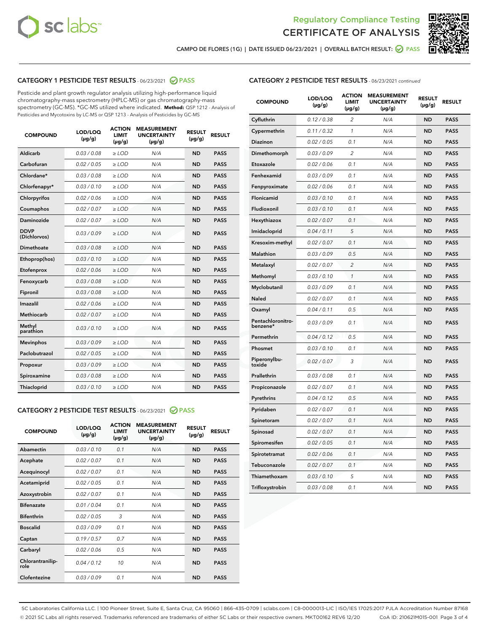



CAMPO DE FLORES (1G) | DATE ISSUED 06/23/2021 | OVERALL BATCH RESULT: @ PASS

# CATEGORY 1 PESTICIDE TEST RESULTS - 06/23/2021 2 PASS

Pesticide and plant growth regulator analysis utilizing high-performance liquid chromatography-mass spectrometry (HPLC-MS) or gas chromatography-mass spectrometry (GC-MS). \*GC-MS utilized where indicated. **Method:** QSP 1212 - Analysis of Pesticides and Mycotoxins by LC-MS or QSP 1213 - Analysis of Pesticides by GC-MS

| <b>COMPOUND</b>             | LOD/LOQ<br>$(\mu g/g)$ | <b>ACTION</b><br><b>LIMIT</b><br>$(\mu g/g)$ | <b>MEASUREMENT</b><br><b>UNCERTAINTY</b><br>$(\mu g/g)$ | <b>RESULT</b><br>$(\mu g/g)$ | <b>RESULT</b> |
|-----------------------------|------------------------|----------------------------------------------|---------------------------------------------------------|------------------------------|---------------|
| Aldicarb                    | 0.03 / 0.08            | $\ge$ LOD                                    | N/A                                                     | <b>ND</b>                    | <b>PASS</b>   |
| Carbofuran                  | 0.02/0.05              | $>$ LOD                                      | N/A                                                     | <b>ND</b>                    | <b>PASS</b>   |
| Chlordane*                  | 0.03 / 0.08            | $\ge$ LOD                                    | N/A                                                     | <b>ND</b>                    | <b>PASS</b>   |
| Chlorfenapyr*               | 0.03/0.10              | $\ge$ LOD                                    | N/A                                                     | <b>ND</b>                    | <b>PASS</b>   |
| Chlorpyrifos                | 0.02 / 0.06            | $\ge$ LOD                                    | N/A                                                     | <b>ND</b>                    | <b>PASS</b>   |
| Coumaphos                   | 0.02 / 0.07            | $\ge$ LOD                                    | N/A                                                     | <b>ND</b>                    | <b>PASS</b>   |
| Daminozide                  | 0.02/0.07              | $>$ LOD                                      | N/A                                                     | <b>ND</b>                    | <b>PASS</b>   |
| <b>DDVP</b><br>(Dichlorvos) | 0.03/0.09              | $\ge$ LOD                                    | N/A                                                     | <b>ND</b>                    | <b>PASS</b>   |
| Dimethoate                  | 0.03 / 0.08            | $\ge$ LOD                                    | N/A                                                     | <b>ND</b>                    | <b>PASS</b>   |
| Ethoprop(hos)               | 0.03/0.10              | $>$ LOD                                      | N/A                                                     | <b>ND</b>                    | <b>PASS</b>   |
| Etofenprox                  | 0.02 / 0.06            | $\ge$ LOD                                    | N/A                                                     | <b>ND</b>                    | <b>PASS</b>   |
| Fenoxycarb                  | 0.03 / 0.08            | $\ge$ LOD                                    | N/A                                                     | <b>ND</b>                    | <b>PASS</b>   |
| Fipronil                    | 0.03/0.08              | $\ge$ LOD                                    | N/A                                                     | <b>ND</b>                    | <b>PASS</b>   |
| Imazalil                    | 0.02 / 0.06            | $\ge$ LOD                                    | N/A                                                     | <b>ND</b>                    | <b>PASS</b>   |
| <b>Methiocarb</b>           | 0.02 / 0.07            | $\ge$ LOD                                    | N/A                                                     | <b>ND</b>                    | <b>PASS</b>   |
| Methyl<br>parathion         | 0.03/0.10              | $\ge$ LOD                                    | N/A                                                     | <b>ND</b>                    | <b>PASS</b>   |
| <b>Mevinphos</b>            | 0.03/0.09              | $>$ LOD                                      | N/A                                                     | <b>ND</b>                    | <b>PASS</b>   |
| Paclobutrazol               | 0.02 / 0.05            | $\ge$ LOD                                    | N/A                                                     | <b>ND</b>                    | <b>PASS</b>   |
| Propoxur                    | 0.03/0.09              | $\ge$ LOD                                    | N/A                                                     | <b>ND</b>                    | <b>PASS</b>   |
| Spiroxamine                 | 0.03 / 0.08            | $\ge$ LOD                                    | N/A                                                     | <b>ND</b>                    | <b>PASS</b>   |
| Thiacloprid                 | 0.03/0.10              | $\ge$ LOD                                    | N/A                                                     | <b>ND</b>                    | <b>PASS</b>   |

#### CATEGORY 2 PESTICIDE TEST RESULTS - 06/23/2021 @ PASS

| <b>COMPOUND</b>          | LOD/LOO<br>$(\mu g/g)$ | <b>ACTION</b><br>LIMIT<br>$(\mu g/g)$ | <b>MEASUREMENT</b><br><b>UNCERTAINTY</b><br>$(\mu g/g)$ | <b>RESULT</b><br>$(\mu g/g)$ | <b>RESULT</b> |
|--------------------------|------------------------|---------------------------------------|---------------------------------------------------------|------------------------------|---------------|
| Abamectin                | 0.03/0.10              | 0.1                                   | N/A                                                     | <b>ND</b>                    | <b>PASS</b>   |
| Acephate                 | 0.02/0.07              | 0.1                                   | N/A                                                     | <b>ND</b>                    | <b>PASS</b>   |
| Acequinocyl              | 0.02/0.07              | 0.1                                   | N/A                                                     | <b>ND</b>                    | <b>PASS</b>   |
| Acetamiprid              | 0.02/0.05              | 0.1                                   | N/A                                                     | <b>ND</b>                    | <b>PASS</b>   |
| Azoxystrobin             | 0.02/0.07              | 0.1                                   | N/A                                                     | <b>ND</b>                    | <b>PASS</b>   |
| <b>Bifenazate</b>        | 0.01/0.04              | 0.1                                   | N/A                                                     | <b>ND</b>                    | <b>PASS</b>   |
| <b>Bifenthrin</b>        | 0.02 / 0.05            | 3                                     | N/A                                                     | <b>ND</b>                    | <b>PASS</b>   |
| <b>Boscalid</b>          | 0.03/0.09              | 0.1                                   | N/A                                                     | <b>ND</b>                    | <b>PASS</b>   |
| Captan                   | 0.19/0.57              | 0.7                                   | N/A                                                     | <b>ND</b>                    | <b>PASS</b>   |
| Carbaryl                 | 0.02/0.06              | 0.5                                   | N/A                                                     | <b>ND</b>                    | <b>PASS</b>   |
| Chlorantranilip-<br>role | 0.04/0.12              | 10                                    | N/A                                                     | <b>ND</b>                    | <b>PASS</b>   |
| Clofentezine             | 0.03/0.09              | 0.1                                   | N/A                                                     | <b>ND</b>                    | <b>PASS</b>   |

# CATEGORY 2 PESTICIDE TEST RESULTS - 06/23/2021 continued

| <b>COMPOUND</b>               | LOD/LOQ<br>(µg/g) | <b>ACTION</b><br>LIMIT<br>$(\mu g/g)$ | <b>MEASUREMENT</b><br><b>UNCERTAINTY</b><br>$(\mu g/g)$ | <b>RESULT</b><br>(µg/g) | <b>RESULT</b> |
|-------------------------------|-------------------|---------------------------------------|---------------------------------------------------------|-------------------------|---------------|
| Cyfluthrin                    | 0.12 / 0.38       | $\overline{c}$                        | N/A                                                     | ND                      | <b>PASS</b>   |
| Cypermethrin                  | 0.11 / 0.32       | $\mathcal{I}$                         | N/A                                                     | ND                      | <b>PASS</b>   |
| <b>Diazinon</b>               | 0.02 / 0.05       | 0.1                                   | N/A                                                     | <b>ND</b>               | <b>PASS</b>   |
| Dimethomorph                  | 0.03 / 0.09       | $\overline{2}$                        | N/A                                                     | ND                      | <b>PASS</b>   |
| Etoxazole                     | 0.02 / 0.06       | 0.1                                   | N/A                                                     | ND                      | <b>PASS</b>   |
| Fenhexamid                    | 0.03 / 0.09       | 0.1                                   | N/A                                                     | <b>ND</b>               | <b>PASS</b>   |
| Fenpyroximate                 | 0.02 / 0.06       | 0.1                                   | N/A                                                     | <b>ND</b>               | <b>PASS</b>   |
| Flonicamid                    | 0.03 / 0.10       | 0.1                                   | N/A                                                     | ND                      | <b>PASS</b>   |
| Fludioxonil                   | 0.03 / 0.10       | 0.1                                   | N/A                                                     | ND                      | <b>PASS</b>   |
| Hexythiazox                   | 0.02 / 0.07       | 0.1                                   | N/A                                                     | ND                      | <b>PASS</b>   |
| Imidacloprid                  | 0.04 / 0.11       | 5                                     | N/A                                                     | ND                      | <b>PASS</b>   |
| Kresoxim-methyl               | 0.02 / 0.07       | 0.1                                   | N/A                                                     | ND                      | <b>PASS</b>   |
| <b>Malathion</b>              | 0.03 / 0.09       | 0.5                                   | N/A                                                     | <b>ND</b>               | <b>PASS</b>   |
| Metalaxyl                     | 0.02 / 0.07       | $\overline{c}$                        | N/A                                                     | ND                      | <b>PASS</b>   |
| Methomyl                      | 0.03 / 0.10       | 1                                     | N/A                                                     | <b>ND</b>               | <b>PASS</b>   |
| Myclobutanil                  | 0.03 / 0.09       | 0.1                                   | N/A                                                     | ND                      | <b>PASS</b>   |
| Naled                         | 0.02 / 0.07       | 0.1                                   | N/A                                                     | ND                      | <b>PASS</b>   |
| Oxamyl                        | 0.04 / 0.11       | 0.5                                   | N/A                                                     | ND                      | <b>PASS</b>   |
| Pentachloronitro-<br>benzene* | 0.03 / 0.09       | 0.1                                   | N/A                                                     | ND                      | <b>PASS</b>   |
| Permethrin                    | 0.04 / 0.12       | 0.5                                   | N/A                                                     | ND                      | <b>PASS</b>   |
| Phosmet                       | 0.03 / 0.10       | 0.1                                   | N/A                                                     | ND                      | <b>PASS</b>   |
| Piperonylbu-<br>toxide        | 0.02 / 0.07       | 3                                     | N/A                                                     | <b>ND</b>               | <b>PASS</b>   |
| Prallethrin                   | 0.03 / 0.08       | 0.1                                   | N/A                                                     | ND                      | <b>PASS</b>   |
| Propiconazole                 | 0.02 / 0.07       | 0.1                                   | N/A                                                     | ND                      | <b>PASS</b>   |
| Pyrethrins                    | 0.04 / 0.12       | 0.5                                   | N/A                                                     | ND                      | <b>PASS</b>   |
| Pyridaben                     | 0.02 / 0.07       | 0.1                                   | N/A                                                     | ND                      | <b>PASS</b>   |
| Spinetoram                    | 0.02 / 0.07       | 0.1                                   | N/A                                                     | ND                      | <b>PASS</b>   |
| Spinosad                      | 0.02 / 0.07       | 0.1                                   | N/A                                                     | ND                      | <b>PASS</b>   |
| Spiromesifen                  | 0.02 / 0.05       | 0.1                                   | N/A                                                     | <b>ND</b>               | <b>PASS</b>   |
| Spirotetramat                 | 0.02 / 0.06       | 0.1                                   | N/A                                                     | ND                      | <b>PASS</b>   |
| Tebuconazole                  | 0.02 / 0.07       | 0.1                                   | N/A                                                     | ND                      | PASS          |
| Thiamethoxam                  | 0.03 / 0.10       | 5                                     | N/A                                                     | ND                      | <b>PASS</b>   |
| Trifloxystrobin               | 0.03 / 0.08       | 0.1                                   | N/A                                                     | <b>ND</b>               | <b>PASS</b>   |

SC Laboratories California LLC. | 100 Pioneer Street, Suite E, Santa Cruz, CA 95060 | 866-435-0709 | sclabs.com | C8-0000013-LIC | ISO/IES 17025:2017 PJLA Accreditation Number 87168 © 2021 SC Labs all rights reserved. Trademarks referenced are trademarks of either SC Labs or their respective owners. MKT00162 REV6 12/20 CoA ID: 210621M015-001 Page 3 of 4